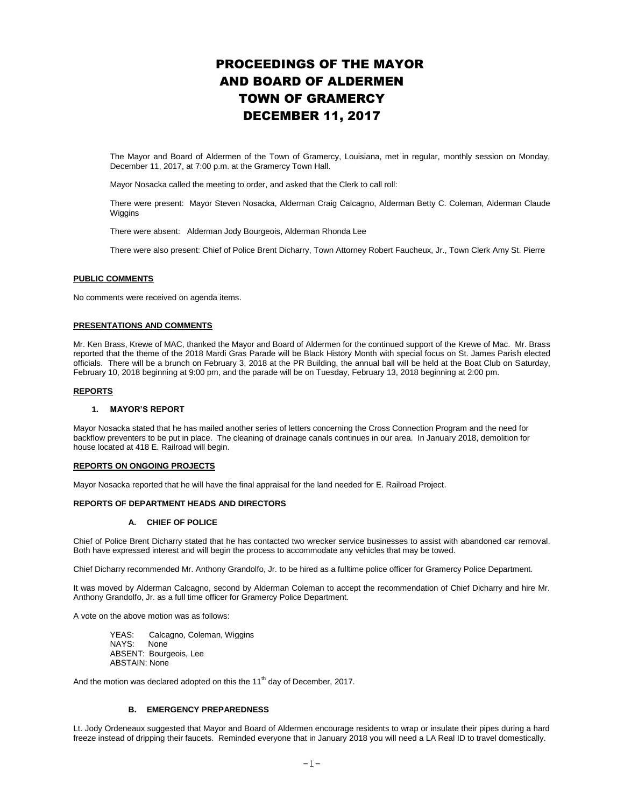# PROCEEDINGS OF THE MAYOR AND BOARD OF ALDERMEN TOWN OF GRAMERCY DECEMBER 11, 2017

The Mayor and Board of Aldermen of the Town of Gramercy, Louisiana, met in regular, monthly session on Monday, December 11, 2017, at 7:00 p.m. at the Gramercy Town Hall.

Mayor Nosacka called the meeting to order, and asked that the Clerk to call roll:

There were present: Mayor Steven Nosacka, Alderman Craig Calcagno, Alderman Betty C. Coleman, Alderman Claude **Wiggins** 

There were absent: Alderman Jody Bourgeois, Alderman Rhonda Lee

There were also present: Chief of Police Brent Dicharry, Town Attorney Robert Faucheux, Jr., Town Clerk Amy St. Pierre

#### **PUBLIC COMMENTS**

No comments were received on agenda items.

# **PRESENTATIONS AND COMMENTS**

Mr. Ken Brass, Krewe of MAC, thanked the Mayor and Board of Aldermen for the continued support of the Krewe of Mac. Mr. Brass reported that the theme of the 2018 Mardi Gras Parade will be Black History Month with special focus on St. James Parish elected officials. There will be a brunch on February 3, 2018 at the PR Building, the annual ball will be held at the Boat Club on Saturday, February 10, 2018 beginning at 9:00 pm, and the parade will be on Tuesday, February 13, 2018 beginning at 2:00 pm.

#### **REPORTS**

#### **1. MAYOR'S REPORT**

Mayor Nosacka stated that he has mailed another series of letters concerning the Cross Connection Program and the need for backflow preventers to be put in place. The cleaning of drainage canals continues in our area. In January 2018, demolition for house located at 418 E. Railroad will begin.

## **REPORTS ON ONGOING PROJECTS**

Mayor Nosacka reported that he will have the final appraisal for the land needed for E. Railroad Project.

## **REPORTS OF DEPARTMENT HEADS AND DIRECTORS**

# **A. CHIEF OF POLICE**

Chief of Police Brent Dicharry stated that he has contacted two wrecker service businesses to assist with abandoned car removal. Both have expressed interest and will begin the process to accommodate any vehicles that may be towed.

Chief Dicharry recommended Mr. Anthony Grandolfo, Jr. to be hired as a fulltime police officer for Gramercy Police Department.

It was moved by Alderman Calcagno, second by Alderman Coleman to accept the recommendation of Chief Dicharry and hire Mr. Anthony Grandolfo, Jr. as a full time officer for Gramercy Police Department.

A vote on the above motion was as follows:

YEAS: Calcagno, Coleman, Wiggins NAYS: None ABSENT: Bourgeois, Lee ABSTAIN: None

And the motion was declared adopted on this the 11<sup>th</sup> day of December, 2017.

# **B. EMERGENCY PREPAREDNESS**

Lt. Jody Ordeneaux suggested that Mayor and Board of Aldermen encourage residents to wrap or insulate their pipes during a hard freeze instead of dripping their faucets. Reminded everyone that in January 2018 you will need a LA Real ID to travel domestically.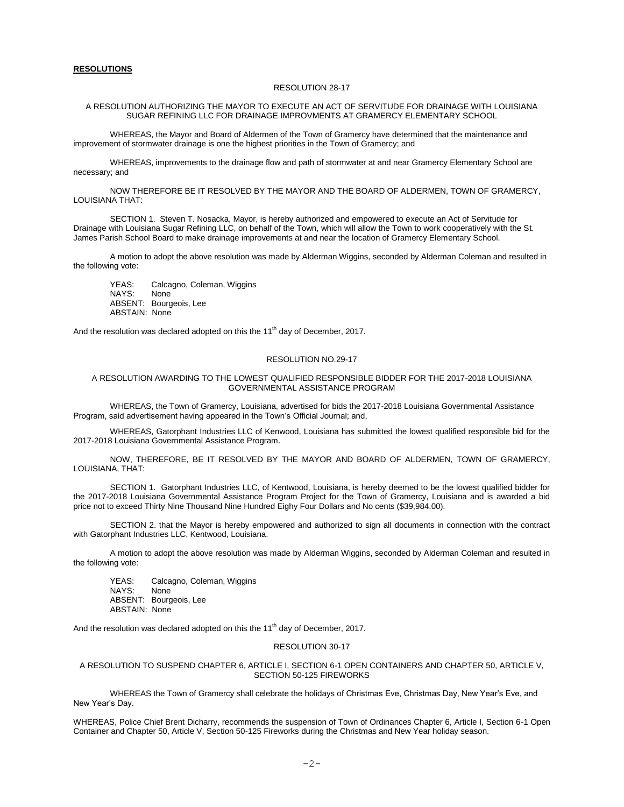## **RESOLUTIONS**

#### RESOLUTION 28-17

## A RESOLUTION AUTHORIZING THE MAYOR TO EXECUTE AN ACT OF SERVITUDE FOR DRAINAGE WITH LOUISIANA SUGAR REFINING LLC FOR DRAINAGE IMPROVMENTS AT GRAMERCY ELEMENTARY SCHOOL

WHEREAS, the Mayor and Board of Aldermen of the Town of Gramercy have determined that the maintenance and improvement of stormwater drainage is one the highest priorities in the Town of Gramercy; and

WHEREAS, improvements to the drainage flow and path of stormwater at and near Gramercy Elementary School are necessary; and

NOW THEREFORE BE IT RESOLVED BY THE MAYOR AND THE BOARD OF ALDERMEN, TOWN OF GRAMERCY, LOUISIANA THAT:

SECTION 1. Steven T. Nosacka, Mayor, is hereby authorized and empowered to execute an Act of Servitude for Drainage with Louisiana Sugar Refining LLC, on behalf of the Town, which will allow the Town to work cooperatively with the St. James Parish School Board to make drainage improvements at and near the location of Gramercy Elementary School.

A motion to adopt the above resolution was made by Alderman Wiggins, seconded by Alderman Coleman and resulted in the following vote:

YEAS: Calcagno, Coleman, Wiggins NAYS: None ABSENT: Bourgeois, Lee ABSTAIN: None

And the resolution was declared adopted on this the  $11<sup>th</sup>$  day of December, 2017.

# RESOLUTION NO.29-17

## A RESOLUTION AWARDING TO THE LOWEST QUALIFIED RESPONSIBLE BIDDER FOR THE 2017-2018 LOUISIANA GOVERNMENTAL ASSISTANCE PROGRAM

WHEREAS, the Town of Gramercy, Louisiana, advertised for bids the 2017-2018 Louisiana Governmental Assistance Program, said advertisement having appeared in the Town's Official Journal; and,

WHEREAS, Gatorphant Industries LLC of Kenwood, Louisiana has submitted the lowest qualified responsible bid for the 2017-2018 Louisiana Governmental Assistance Program.

NOW, THEREFORE, BE IT RESOLVED BY THE MAYOR AND BOARD OF ALDERMEN, TOWN OF GRAMERCY, LOUISIANA, THAT:

SECTION 1. Gatorphant Industries LLC, of Kentwood, Louisiana, is hereby deemed to be the lowest qualified bidder for the 2017-2018 Louisiana Governmental Assistance Program Project for the Town of Gramercy, Louisiana and is awarded a bid price not to exceed Thirty Nine Thousand Nine Hundred Eighy Four Dollars and No cents (\$39,984.00).

SECTION 2. that the Mayor is hereby empowered and authorized to sign all documents in connection with the contract with Gatorphant Industries LLC, Kentwood, Louisiana.

A motion to adopt the above resolution was made by Alderman Wiggins, seconded by Alderman Coleman and resulted in the following vote:

YEAS: Calcagno, Coleman, Wiggins NAYS: None ABSENT: Bourgeois, Lee ABSTAIN: None

And the resolution was declared adopted on this the  $11<sup>th</sup>$  day of December, 2017.

# RESOLUTION 30-17

#### A RESOLUTION TO SUSPEND CHAPTER 6, ARTICLE I, SECTION 6-1 OPEN CONTAINERS AND CHAPTER 50, ARTICLE V, SECTION 50-125 FIREWORKS

WHEREAS the Town of Gramercy shall celebrate the holidays of Christmas Eve, Christmas Day, New Year's Eve, and New Year's Day.

WHEREAS, Police Chief Brent Dicharry, recommends the suspension of Town of Ordinances Chapter 6, Article I, Section 6-1 Open Container and Chapter 50, Article V, Section 50-125 Fireworks during the Christmas and New Year holiday season.